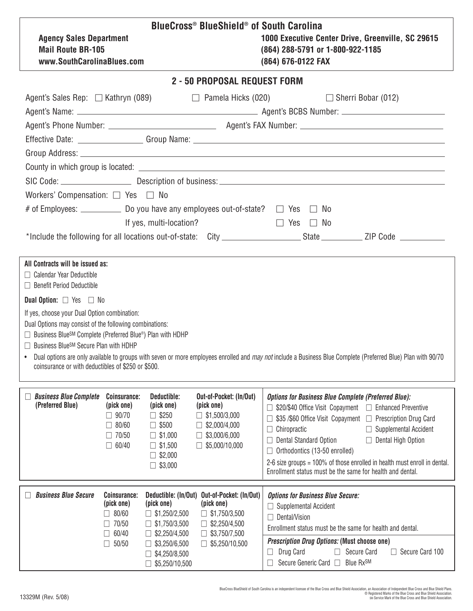| <b>Agency Sales Department</b><br><b>Mail Route BR-105</b><br>www.SouthCarolinaBlues.com                                                                                                                                                                                                                                                                                                                                                                                                                                                                                                                                       |                                                                                                   |                                                                                                                                                         | BlueCross® BlueShield® of South Carolina<br>1000 Executive Center Drive, Greenville, SC 29615<br>(864) 288-5791 or 1-800-922-1185<br>(864) 676-0122 FAX |                                                                                                                                                                                                                                                                                                                                                      |  |  |  |  |  |  |  |
|--------------------------------------------------------------------------------------------------------------------------------------------------------------------------------------------------------------------------------------------------------------------------------------------------------------------------------------------------------------------------------------------------------------------------------------------------------------------------------------------------------------------------------------------------------------------------------------------------------------------------------|---------------------------------------------------------------------------------------------------|---------------------------------------------------------------------------------------------------------------------------------------------------------|---------------------------------------------------------------------------------------------------------------------------------------------------------|------------------------------------------------------------------------------------------------------------------------------------------------------------------------------------------------------------------------------------------------------------------------------------------------------------------------------------------------------|--|--|--|--|--|--|--|
| 2 - 50 PROPOSAL REQUEST FORM                                                                                                                                                                                                                                                                                                                                                                                                                                                                                                                                                                                                   |                                                                                                   |                                                                                                                                                         |                                                                                                                                                         |                                                                                                                                                                                                                                                                                                                                                      |  |  |  |  |  |  |  |
|                                                                                                                                                                                                                                                                                                                                                                                                                                                                                                                                                                                                                                | Agent's Sales Rep: $\Box$ Kathryn (089)<br>$\Box$ Sherri Bobar (012)<br>$\Box$ Pamela Hicks (020) |                                                                                                                                                         |                                                                                                                                                         |                                                                                                                                                                                                                                                                                                                                                      |  |  |  |  |  |  |  |
| Workers' Compensation: $\Box$ Yes $\Box$ No                                                                                                                                                                                                                                                                                                                                                                                                                                                                                                                                                                                    |                                                                                                   | If yes, multi-location?                                                                                                                                 |                                                                                                                                                         | $\Box$ Yes $\Box$ No                                                                                                                                                                                                                                                                                                                                 |  |  |  |  |  |  |  |
| All Contracts will be issued as:<br>$\Box$ Calendar Year Deductible<br>$\Box$ Benefit Period Deductible<br><b>Dual Option:</b> $\Box$ Yes $\Box$ No<br>If yes, choose your Dual Option combination:<br>Dual Options may consist of the following combinations:<br>□ Business Blue <sup>SM</sup> Complete (Preferred Blue®) Plan with HDHP<br>□ Business Blue <sup>SM</sup> Secure Plan with HDHP<br>Dual options are only available to groups with seven or more employees enrolled and <i>may not</i> include a Business Blue Complete (Preferred Blue) Plan with 90/70<br>coinsurance or with deductibles of \$250 or \$500. |                                                                                                   |                                                                                                                                                         |                                                                                                                                                         |                                                                                                                                                                                                                                                                                                                                                      |  |  |  |  |  |  |  |
| <b>Business Blue Complete</b><br>(Preferred Blue)                                                                                                                                                                                                                                                                                                                                                                                                                                                                                                                                                                              | Coinsurance:<br>(pick one)<br>$\Box$ 90/70<br>80/60<br>$\Box$ 70/50<br>$\Box$ 60/40               | Deductible:<br>(pick one)<br>$\square$ \$250<br>$\square$ \$500<br>$\square$ \$1,000<br>$\Box$ \$1,500<br>$\Box$ \$2,000<br>$\square$ \$3,000           | Out-of-Pocket: (In/Out)<br>(pick one)<br>$\Box$ \$1,500/3,000<br>$\Box$ \$2,000/4,000<br>$\Box$ \$3,000/6,000<br>$\Box$ \$5,000/10,000                  | <b>Options for Business Blue Complete (Preferred Blue):</b><br>Chiropractic<br>$\Box$ Supplemental Accident<br><b>Dental Standard Option</b><br>$\Box$ Dental High Option<br>Orthodontics (13-50 enrolled)<br>2-6 size groups = 100% of those enrolled in health must enroll in dental.<br>Enrollment status must be the same for health and dental. |  |  |  |  |  |  |  |
| <b>Business Blue Secure</b>                                                                                                                                                                                                                                                                                                                                                                                                                                                                                                                                                                                                    | Coinsurance:<br>(pick one)<br>80/60<br>H<br>70/50<br>60/40<br>50/50                               | Deductible: (In/Out)<br>(pick one)<br>$\Box$ \$1,250/2,500<br>$\Box$ \$1,750/3,500<br>\$2,250/4,500<br>\$3,250/6,500<br>\$4,250/8,500<br>\$5,250/10,500 | Out-of-Pocket: (In/Out)<br>(pick one)<br>\$1,750/3,500<br>\$2,250/4,500<br>\$3,750/7,500<br>\$5,250/10,500<br>П                                         | <b>Options for Business Blue Secure:</b><br>Supplemental Accident<br>Dental/Vision<br>Enrollment status must be the same for health and dental.<br><b>Prescription Drug Options: (Must choose one)</b><br>Drug Card<br>Secure Card<br>Secure Card 100<br>H<br>Secure Generic Card □<br>Blue RxSM                                                     |  |  |  |  |  |  |  |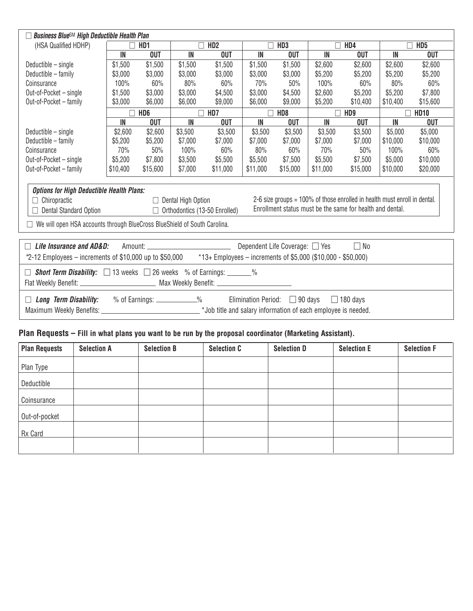| <b>Business Blue<sup>SM</sup> High Deductible Health Plan</b>                                                                                                                                                                                                                                                                                                                                 |          |                 |                 |            |                 |                 |          |                 |                 |             |  |
|-----------------------------------------------------------------------------------------------------------------------------------------------------------------------------------------------------------------------------------------------------------------------------------------------------------------------------------------------------------------------------------------------|----------|-----------------|-----------------|------------|-----------------|-----------------|----------|-----------------|-----------------|-------------|--|
| (HSA Qualified HDHP)                                                                                                                                                                                                                                                                                                                                                                          | HD1      |                 | HD <sub>2</sub> |            | HD <sub>3</sub> |                 | HD4      |                 | HD <sub>5</sub> |             |  |
|                                                                                                                                                                                                                                                                                                                                                                                               | IN       | <b>OUT</b>      | IN              | <b>OUT</b> | IN              | <b>OUT</b>      | IN       | <b>OUT</b>      | IN              | <b>OUT</b>  |  |
| Deductible - single                                                                                                                                                                                                                                                                                                                                                                           | \$1,500  | \$1,500         | \$1,500         | \$1,500    | \$1,500         | \$1,500         | \$2,600  | \$2,600         | \$2,600         | \$2,600     |  |
| Deductible - family                                                                                                                                                                                                                                                                                                                                                                           | \$3,000  | \$3,000         | \$3,000         | \$3,000    | \$3,000         | \$3,000         | \$5,200  | \$5,200         | \$5,200         | \$5,200     |  |
| Coinsurance                                                                                                                                                                                                                                                                                                                                                                                   | 100%     | 60%             | 80%             | 60%        | 70%             | 50%             | 100%     | 60%             | 80%             | 60%         |  |
| Out-of-Pocket - single                                                                                                                                                                                                                                                                                                                                                                        | \$1,500  | \$3,000         | \$3,000         | \$4,500    | \$3,000         | \$4,500         | \$2,600  | \$5,200         | \$5,200         | \$7,800     |  |
| Out-of-Pocket - family                                                                                                                                                                                                                                                                                                                                                                        | \$3,000  | \$6,000         | \$6,000         | \$9,000    | \$6,000         | \$9,000         | \$5,200  | \$10,400        | \$10,400        | \$15,600    |  |
|                                                                                                                                                                                                                                                                                                                                                                                               |          | HD <sub>6</sub> |                 | HD7        |                 | HD <sub>8</sub> |          | HD <sub>9</sub> |                 | <b>HD10</b> |  |
|                                                                                                                                                                                                                                                                                                                                                                                               | IN       | <b>OUT</b>      | IN              | <b>OUT</b> | IN              | <b>OUT</b>      | IN       | <b>OUT</b>      | IN              | <b>OUT</b>  |  |
| Deductible - single                                                                                                                                                                                                                                                                                                                                                                           | \$2,600  | \$2,600         | \$3,500         | \$3,500    | \$3,500         | \$3,500         | \$3,500  | \$3,500         | \$5,000         | \$5,000     |  |
| Deductible - family                                                                                                                                                                                                                                                                                                                                                                           | \$5,200  | \$5,200         | \$7,000         | \$7,000    | \$7,000         | \$7,000         | \$7,000  | \$7,000         | \$10,000        | \$10,000    |  |
| Coinsurance                                                                                                                                                                                                                                                                                                                                                                                   | 70%      | 50%             | 100%            | 60%        | 80%             | 60%             | 70%      | 50%             | 100%            | 60%         |  |
| Out-of-Pocket - single                                                                                                                                                                                                                                                                                                                                                                        | \$5,200  | \$7,800         | \$3,500         | \$5,500    | \$5,500         | \$7,500         | \$5,500  | \$7,500         | \$5,000         | \$10,000    |  |
| Out-of-Pocket - family                                                                                                                                                                                                                                                                                                                                                                        | \$10,400 | \$15,600        | \$7,000         | \$11,000   | \$11,000        | \$15,000        | \$11,000 | \$15,000        | \$10,000        | \$20,000    |  |
| <b>Options for High Deductible Health Plans:</b><br>2-6 size groups = 100% of those enrolled in health must enroll in dental.<br>$\Box$ Chiropractic<br>$\Box$ Dental High Option<br>Enrollment status must be the same for health and dental.<br>Dental Standard Option<br>$\Box$ Orthodontics (13-50 Enrolled)<br>We will open HSA accounts through BlueCross BlueShield of South Carolina. |          |                 |                 |            |                 |                 |          |                 |                 |             |  |
| Life Insurance and AD&D:<br>Dependent Life Coverage: $\Box$ Yes<br>$\Box$ No                                                                                                                                                                                                                                                                                                                  |          |                 |                 |            |                 |                 |          |                 |                 |             |  |
| $*2$ -12 Employees – increments of \$10,000 up to \$50,000<br>$*13+$ Employees – increments of \$5,000 (\$10,000 - \$50,000)                                                                                                                                                                                                                                                                  |          |                 |                 |            |                 |                 |          |                 |                 |             |  |
| <b>Short Term Disability:</b> $\Box$ 13 weeks $\Box$ 26 weeks % of Earnings: ______%<br>Flat Weekly Benefit: ___________________________ Max Weekly Benefit: _______________________________                                                                                                                                                                                                  |          |                 |                 |            |                 |                 |          |                 |                 |             |  |
| % of Earnings: ____________%<br><b>Long Term Disability:</b><br>Elimination Period: $\Box$ 90 days<br>$\Box$ 180 days                                                                                                                                                                                                                                                                         |          |                 |                 |            |                 |                 |          |                 |                 |             |  |
|                                                                                                                                                                                                                                                                                                                                                                                               |          |                 |                 |            |                 |                 |          |                 |                 |             |  |

## **Plan Requests – Fill in what plans you want to be run by the proposal coordinator (Marketing Assistant).**

| <b>Plan Requests</b> | <b>Selection A</b> | <b>Selection B</b> | <b>Selection C</b> | <b>Selection D</b> | <b>Selection E</b> | <b>Selection F</b> |
|----------------------|--------------------|--------------------|--------------------|--------------------|--------------------|--------------------|
| Plan Type            |                    |                    |                    |                    |                    |                    |
| Deductible           |                    |                    |                    |                    |                    |                    |
| Coinsurance          |                    |                    |                    |                    |                    |                    |
| Out-of-pocket        |                    |                    |                    |                    |                    |                    |
| Rx Card              |                    |                    |                    |                    |                    |                    |
|                      |                    |                    |                    |                    |                    |                    |